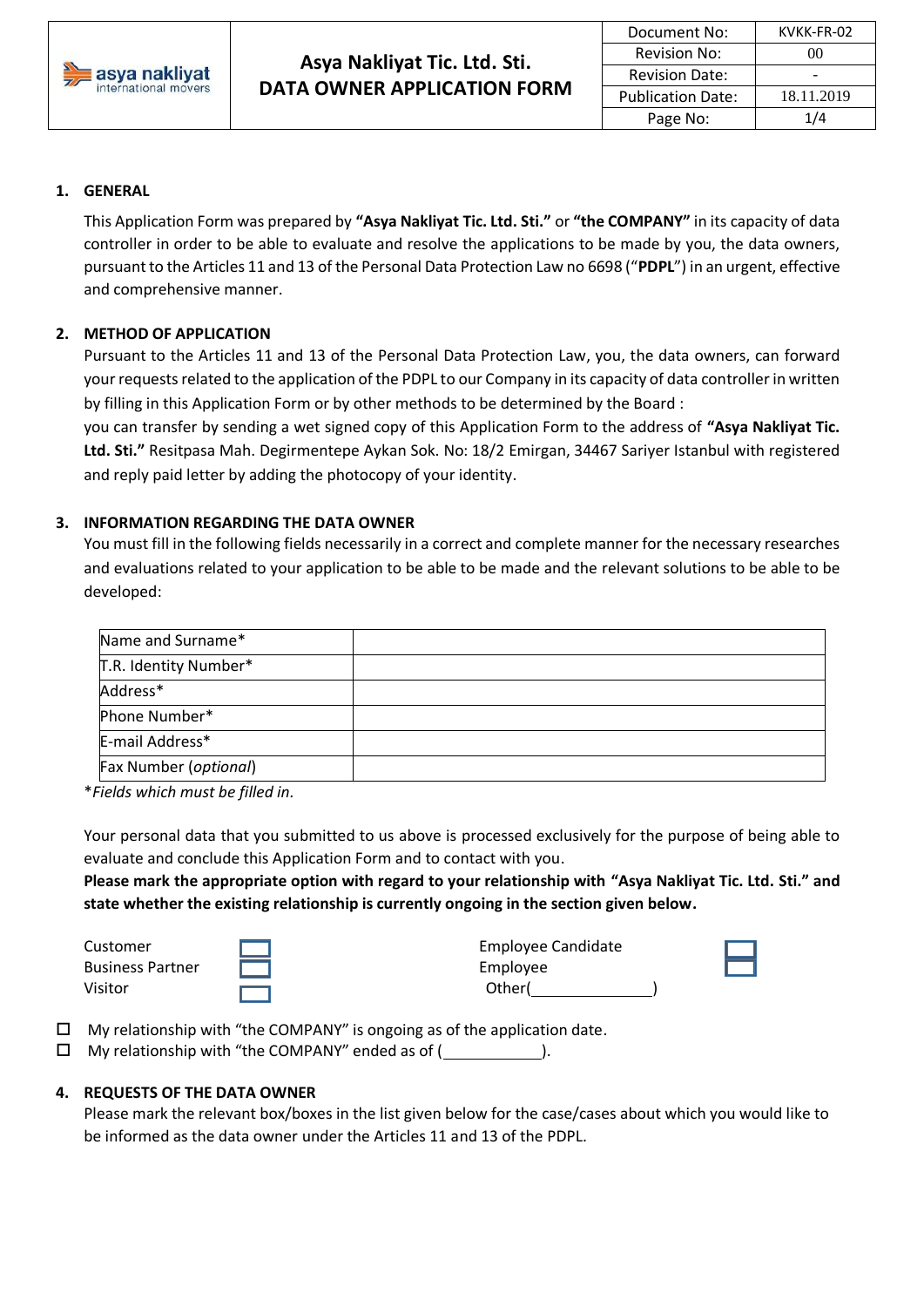

### **1. GENERAL**

This Application Form was prepared by **"Asya Nakliyat Tic. Ltd. Sti."** or **"the COMPANY"** in its capacity of data controller in order to be able to evaluate and resolve the applications to be made by you, the data owners, pursuant to the Articles 11 and 13 of the Personal Data Protection Law no 6698 ("**PDPL**") in an urgent, effective and comprehensive manner.

### **2. METHOD OF APPLICATION**

Pursuant to the Articles 11 and 13 of the Personal Data Protection Law, you, the data owners, can forward your requests related to the application of the PDPL to our Company in its capacity of data controller in written by filling in this Application Form or by other methods to be determined by the Board :

you can transfer by sending a wet signed copy of this Application Form to the address of **"Asya Nakliyat Tic. Ltd. Sti."** Resitpasa Mah. Degirmentepe Aykan Sok. No: 18/2 Emirgan, 34467 Sariyer Istanbul with registered and reply paid letter by adding the photocopy of your identity.

#### **3. INFORMATION REGARDING THE DATA OWNER**

You must fill in the following fields necessarily in a correct and complete manner for the necessary researches and evaluations related to your application to be able to be made and the relevant solutions to be able to be developed:

| Name and Surname*     |  |
|-----------------------|--|
| T.R. Identity Number* |  |
| Address*              |  |
| Phone Number*         |  |
| E-mail Address*       |  |
| Fax Number (optional) |  |

\**Fields which must be filled in.*

Your personal data that you submitted to us above is processed exclusively for the purpose of being able to evaluate and conclude this Application Form and to contact with you.

**Please mark the appropriate option with regard to your relationship with "Asya Nakliyat Tic. Ltd. Sti." and state whether the existing relationship is currently ongoing in the section given below.**

Business Partner **Fig. 1. In the Second Employee** 

Customer **Employee Candidate** Visitor Other( )

My relationship with "the COMPANY" is ongoing as of the application date.

 $\Box$  My relationship with "the COMPANY" ended as of ( $\Box$ ).

### **4. REQUESTS OF THE DATA OWNER**

Please mark the relevant box/boxes in the list given below for the case/cases about which you would like to be informed as the data owner under the Articles 11 and 13 of the PDPL.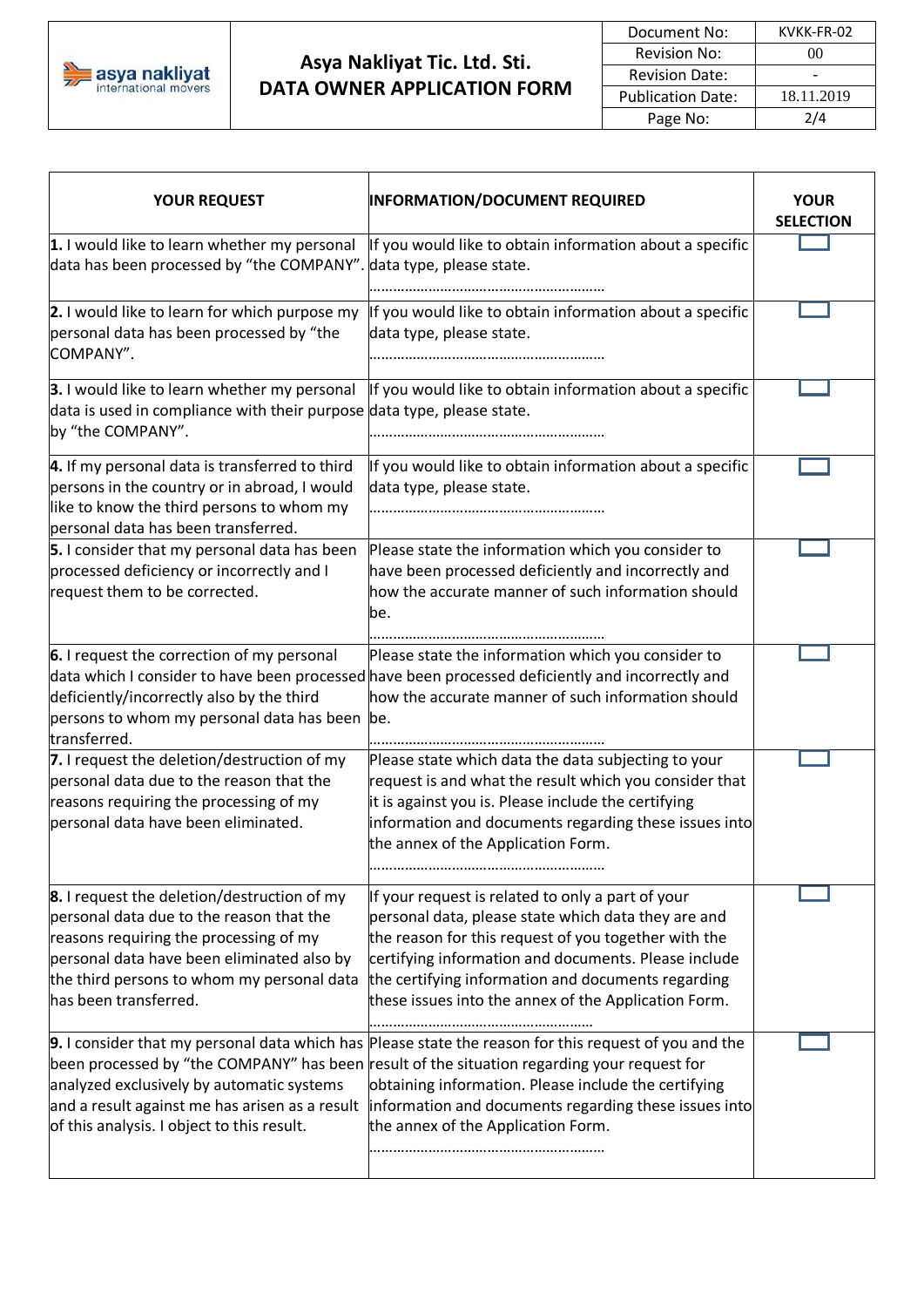

# **Asya Nakliyat Tic. Ltd. Sti. DATA OWNER APPLICATION FORM**

| Document No:             | KVKK-FR-02 |
|--------------------------|------------|
| <b>Revision No:</b>      | $($ i $()$ |
| <b>Revision Date:</b>    |            |
| <b>Publication Date:</b> | 18.11.2019 |
| Page No:                 | 214        |

| <b>YOUR REQUEST</b>                                                                                                                                                                                                                                           | <b>INFORMATION/DOCUMENT REQUIRED</b>                                                                                                                                                                                                                                                                                                                        | <b>YOUR</b><br><b>SELECTION</b> |
|---------------------------------------------------------------------------------------------------------------------------------------------------------------------------------------------------------------------------------------------------------------|-------------------------------------------------------------------------------------------------------------------------------------------------------------------------------------------------------------------------------------------------------------------------------------------------------------------------------------------------------------|---------------------------------|
| 1. I would like to learn whether my personal<br>data has been processed by "the COMPANY".                                                                                                                                                                     | If you would like to obtain information about a specific<br>data type, please state.                                                                                                                                                                                                                                                                        |                                 |
| 2. I would like to learn for which purpose my<br>personal data has been processed by "the<br>COMPANY".                                                                                                                                                        | If you would like to obtain information about a specific<br>data type, please state.                                                                                                                                                                                                                                                                        |                                 |
| 3. I would like to learn whether my personal<br>data is used in compliance with their purpose data type, please state.<br>by "the COMPANY".                                                                                                                   | If you would like to obtain information about a specific                                                                                                                                                                                                                                                                                                    |                                 |
| 4. If my personal data is transferred to third<br>persons in the country or in abroad, I would<br>like to know the third persons to whom my<br>personal data has been transferred.                                                                            | If you would like to obtain information about a specific<br>data type, please state.                                                                                                                                                                                                                                                                        |                                 |
| 5. I consider that my personal data has been<br>processed deficiency or incorrectly and I<br>request them to be corrected.                                                                                                                                    | Please state the information which you consider to<br>have been processed deficiently and incorrectly and<br>how the accurate manner of such information should<br>be.                                                                                                                                                                                      |                                 |
| 6. I request the correction of my personal<br>deficiently/incorrectly also by the third<br>persons to whom my personal data has been be.<br>transferred.                                                                                                      | Please state the information which you consider to<br>data which I consider to have been processed have been processed deficiently and incorrectly and<br>how the accurate manner of such information should                                                                                                                                                |                                 |
| 7. I request the deletion/destruction of my<br>personal data due to the reason that the<br>reasons requiring the processing of my<br>bersonal data have been eliminated.                                                                                      | Please state which data the data subjecting to your<br>request is and what the result which you consider that<br>it is against you is. Please include the certifying<br>information and documents regarding these issues into<br>the annex of the Application Form.                                                                                         |                                 |
| <b>8.</b> I request the deletion/destruction of my<br>personal data due to the reason that the<br>reasons requiring the processing of my<br>personal data have been eliminated also by<br>the third persons to whom my personal data<br>has been transferred. | If your request is related to only a part of your<br>personal data, please state which data they are and<br>the reason for this request of you together with the<br>certifying information and documents. Please include<br>the certifying information and documents regarding<br>these issues into the annex of the Application Form.                      |                                 |
| analyzed exclusively by automatic systems<br>and a result against me has arisen as a result<br>of this analysis. I object to this result.                                                                                                                     | 9. I consider that my personal data which has Please state the reason for this request of you and the<br>been processed by "the COMPANY" has been result of the situation regarding your request for<br>obtaining information. Please include the certifying<br>information and documents regarding these issues into<br>the annex of the Application Form. |                                 |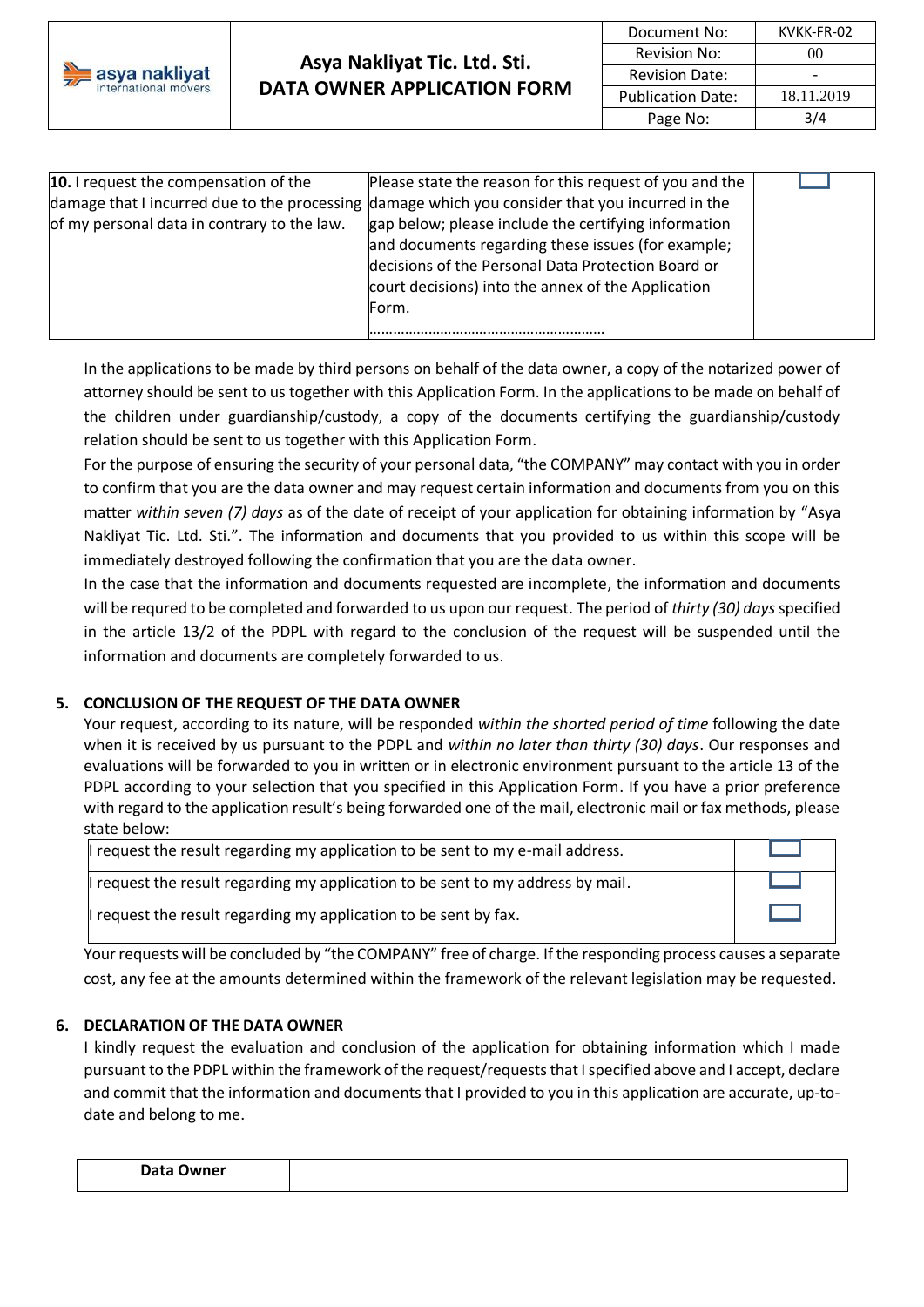

## **Asya Nakliyat Tic. Ltd. Sti. DATA OWNER APPLICATION FORM**

| Document No:             | KVKK-FR-02   |
|--------------------------|--------------|
| <b>Revision No:</b>      | $($ $)($ $)$ |
| <b>Revision Date:</b>    |              |
| <b>Publication Date:</b> | 18.11.2019   |
| Page No:                 | 3/4          |

| <b>10.</b> I request the compensation of the | Please state the reason for this request of you and the                                         |  |
|----------------------------------------------|-------------------------------------------------------------------------------------------------|--|
|                                              | damage that I incurred due to the processing damage which you consider that you incurred in the |  |
| of my personal data in contrary to the law.  | gap below; please include the certifying information                                            |  |
|                                              | and documents regarding these issues (for example;                                              |  |
|                                              | decisions of the Personal Data Protection Board or                                              |  |
|                                              | court decisions) into the annex of the Application                                              |  |
|                                              | Form.                                                                                           |  |
|                                              |                                                                                                 |  |

In the applications to be made by third persons on behalf of the data owner, a copy of the notarized power of attorney should be sent to us together with this Application Form. In the applications to be made on behalf of the children under guardianship/custody, a copy of the documents certifying the guardianship/custody relation should be sent to us together with this Application Form.

For the purpose of ensuring the security of your personal data, "the COMPANY" may contact with you in order to confirm that you are the data owner and may request certain information and documents from you on this matter *within seven (7) days* as of the date of receipt of your application for obtaining information by "Asya Nakliyat Tic. Ltd. Sti.". The information and documents that you provided to us within this scope will be immediately destroyed following the confirmation that you are the data owner.

In the case that the information and documents requested are incomplete, the information and documents will be requred to be completed and forwarded to us upon our request. The period of *thirty (30) days*specified in the article 13/2 of the PDPL with regard to the conclusion of the request will be suspended until the information and documents are completely forwarded to us.

### **5. CONCLUSION OF THE REQUEST OF THE DATA OWNER**

Your request, according to its nature, will be responded *within the shorted period of time* following the date when it is received by us pursuant to the PDPL and *within no later than thirty (30) days*. Our responses and evaluations will be forwarded to you in written or in electronic environment pursuant to the article 13 of the PDPL according to your selection that you specified in this Application Form. If you have a prior preference with regard to the application result's being forwarded one of the mail, electronic mail or fax methods, please state below:

| I request the result regarding my application to be sent to my e-mail address.   |  |
|----------------------------------------------------------------------------------|--|
| Il request the result regarding my application to be sent to my address by mail. |  |
| I request the result regarding my application to be sent by fax.                 |  |

Your requests will be concluded by "the COMPANY" free of charge. If the responding process causes a separate cost, any fee at the amounts determined within the framework of the relevant legislation may be requested.

### **6. DECLARATION OF THE DATA OWNER**

I kindly request the evaluation and conclusion of the application for obtaining information which I made pursuant to the PDPL within the framework of the request/requests that I specified above and I accept, declare and commit that the information and documents that I provided to you in this application are accurate, up-todate and belong to me.

| $D = 1$<br>Jwner<br>. .<br>Du cu 1<br>- |  |
|-----------------------------------------|--|
|                                         |  |